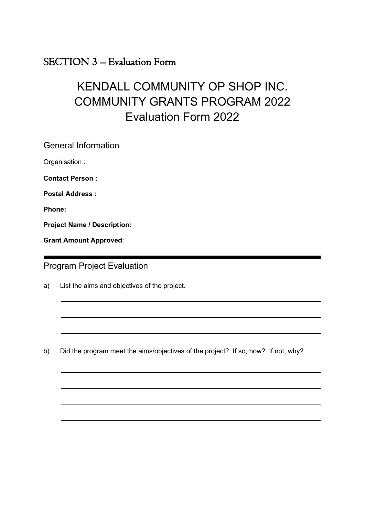## SECTION 3 – Evaluation Form

## KENDALL COMMUNITY OP SHOP INC. COMMUNITY GRANTS PROGRAM 2022 Evaluation Form 2022

General Information

Organisation :

**Contact Person :** 

**Postal Address :**

**Phone:**

**Project Name / Description:**

**Grant Amount Approved**:

Program Project Evaluation

a) List the aims and objectives of the project.

b) Did the program meet the aims/objectives of the project? If so, how? If not, why?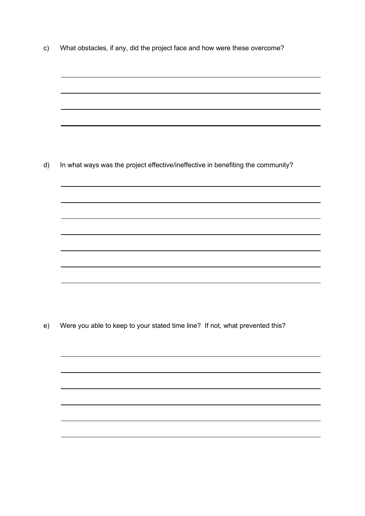c) What obstacles, if any, did the project face and how were these overcome?

d) In what ways was the project effective/ineffective in benefiting the community?

e) Were you able to keep to your stated time line? If not, what prevented this?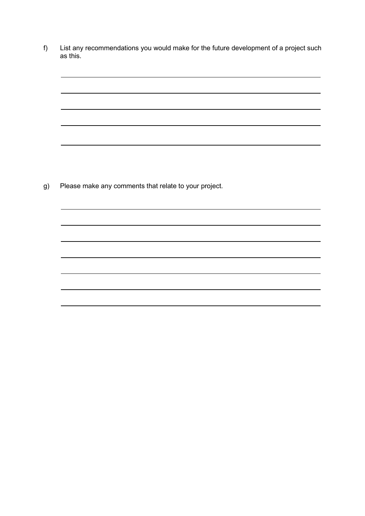f) List any recommendations you would make for the future development of a project such as this.

g) Please make any comments that relate to your project.